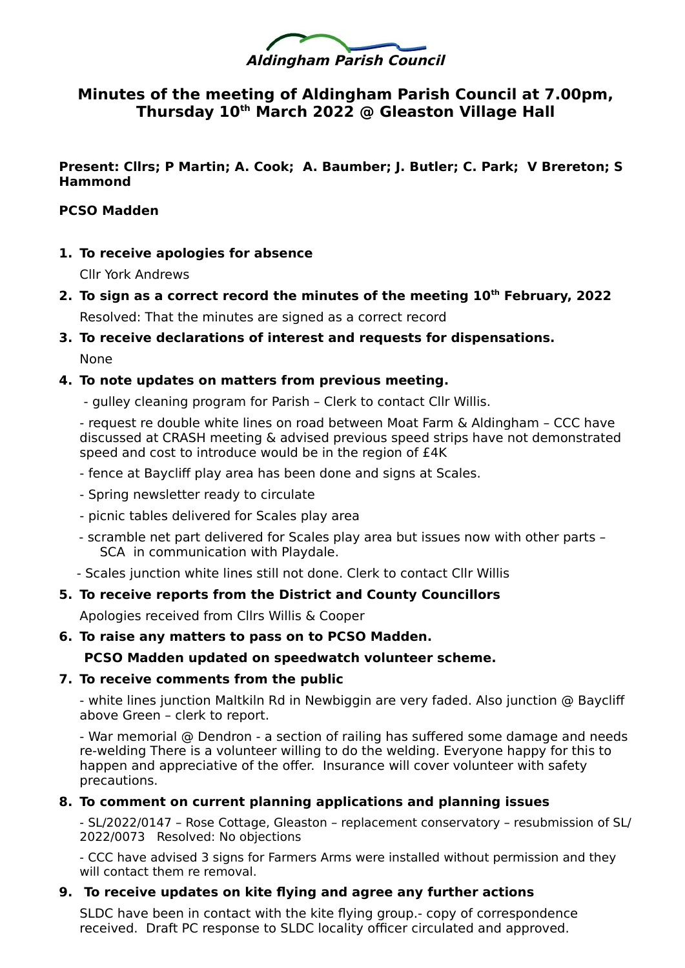

# **Minutes of the meeting of Aldingham Parish Council at 7.00pm, Thursday 10th March 2022 @ Gleaston Village Hall**

**Present: Cllrs; P Martin; A. Cook; A. Baumber; J. Butler; C. Park; V Brereton; S Hammond**

#### **PCSO Madden**

**1. To receive apologies for absence**

Cllr York Andrews

**2. To sign as a correct record the minutes of the meeting 10th February, 2022** Resolved: That the minutes are signed as a correct record

# **3. To receive declarations of interest and requests for dispensations.**

None

# **4. To note updates on matters from previous meeting.**

- gulley cleaning program for Parish – Clerk to contact Cllr Willis.

- request re double white lines on road between Moat Farm & Aldingham – CCC have discussed at CRASH meeting & advised previous speed strips have not demonstrated speed and cost to introduce would be in the region of £4K

- fence at Baycliff play area has been done and signs at Scales.
- Spring newsletter ready to circulate
- picnic tables delivered for Scales play area
- scramble net part delivered for Scales play area but issues now with other parts SCA in communication with Playdale.
- Scales junction white lines still not done. Clerk to contact Cllr Willis

# **5. To receive reports from the District and County Councillors**

Apologies received from Cllrs Willis & Cooper

#### **6. To raise any matters to pass on to PCSO Madden.**

# **PCSO Madden updated on speedwatch volunteer scheme.**

#### **7. To receive comments from the public**

- white lines junction Maltkiln Rd in Newbiggin are very faded. Also junction @ Baycliff above Green – clerk to report.

- War memorial @ Dendron - a section of railing has suffered some damage and needs re-welding There is a volunteer willing to do the welding. Everyone happy for this to happen and appreciative of the offer. Insurance will cover volunteer with safety precautions.

#### **8. To comment on current planning applications and planning issues**

- SL/2022/0147 – Rose Cottage, Gleaston – replacement conservatory – resubmission of SL/ 2022/0073 Resolved: No objections

- CCC have advised 3 signs for Farmers Arms were installed without permission and they will contact them re removal.

# **9. To receive updates on kite flying and agree any further actions**

SLDC have been in contact with the kite flying group.- copy of correspondence received. Draft PC response to SLDC locality officer circulated and approved.